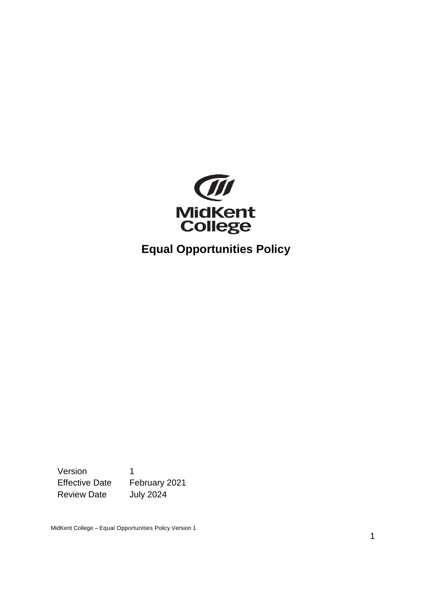

**Equal Opportunities Policy**

Version 1 Effective Date February 2021 Review Date July 2024

MidKent College – Equal Opportunities Policy Version 1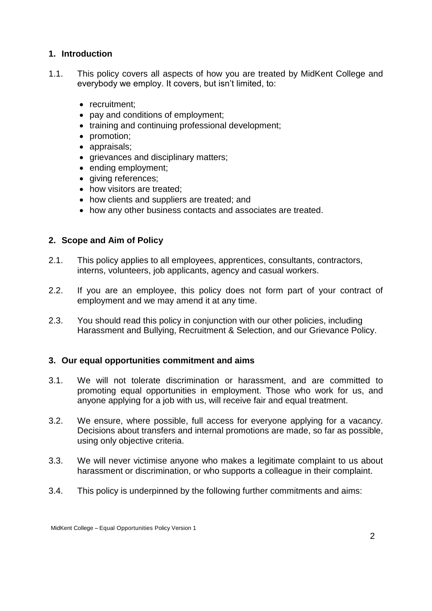## **1. Introduction**

- 1.1. This policy covers all aspects of how you are treated by MidKent College and everybody we employ. It covers, but isn't limited, to:
	- recruitment:
	- pay and conditions of employment;
	- training and continuing professional development;
	- promotion;
	- appraisals;
	- grievances and disciplinary matters;
	- ending employment;
	- giving references;
	- how visitors are treated;
	- how clients and suppliers are treated; and
	- how any other business contacts and associates are treated.

## **2. Scope and Aim of Policy**

- 2.1. This policy applies to all employees, apprentices, consultants, contractors, interns, volunteers, job applicants, agency and casual workers.
- 2.2. If you are an employee, this policy does not form part of your contract of employment and we may amend it at any time.
- 2.3. You should read this policy in conjunction with our other policies, including Harassment and Bullying, Recruitment & Selection, and our Grievance Policy.

#### **3. Our equal opportunities commitment and aims**

- 3.1. We will not tolerate discrimination or harassment, and are committed to promoting equal opportunities in employment. Those who work for us, and anyone applying for a job with us, will receive fair and equal treatment.
- 3.2. We ensure, where possible, full access for everyone applying for a vacancy. Decisions about transfers and internal promotions are made, so far as possible, using only objective criteria.
- 3.3. We will never victimise anyone who makes a legitimate complaint to us about harassment or discrimination, or who supports a colleague in their complaint.
- 3.4. This policy is underpinned by the following further commitments and aims: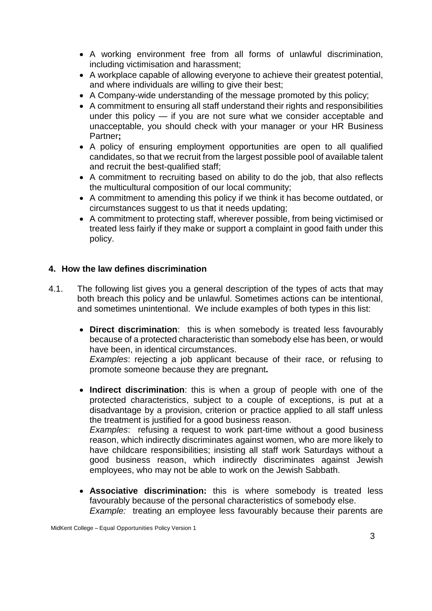- A working environment free from all forms of unlawful discrimination, including victimisation and harassment;
- A workplace capable of allowing everyone to achieve their greatest potential, and where individuals are willing to give their best;
- A Company-wide understanding of the message promoted by this policy;
- A commitment to ensuring all staff understand their rights and responsibilities under this policy — if you are not sure what we consider acceptable and unacceptable, you should check with your manager or your HR Business Partner**;**
- A policy of ensuring employment opportunities are open to all qualified candidates, so that we recruit from the largest possible pool of available talent and recruit the best-qualified staff;
- A commitment to recruiting based on ability to do the job, that also reflects the multicultural composition of our local community;
- A commitment to amending this policy if we think it has become outdated, or circumstances suggest to us that it needs updating;
- A commitment to protecting staff, wherever possible, from being victimised or treated less fairly if they make or support a complaint in good faith under this policy.

## **4. How the law defines discrimination**

- 4.1. The following list gives you a general description of the types of acts that may both breach this policy and be unlawful. Sometimes actions can be intentional, and sometimes unintentional. We include examples of both types in this list:
	- **Direct discrimination**: this is when somebody is treated less favourably because of a protected characteristic than somebody else has been, or would have been, in identical circumstances.

*Examples*: rejecting a job applicant because of their race, or refusing to promote someone because they are pregnant**.**

 **Indirect discrimination**: this is when a group of people with one of the protected characteristics, subject to a couple of exceptions, is put at a disadvantage by a provision, criterion or practice applied to all staff unless the treatment is justified for a good business reason. *Examples*: refusing a request to work part-time without a good business

reason, which indirectly discriminates against women, who are more likely to have childcare responsibilities; insisting all staff work Saturdays without a good business reason, which indirectly discriminates against Jewish employees, who may not be able to work on the Jewish Sabbath.

 **Associative discrimination:** this is where somebody is treated less favourably because of the personal characteristics of somebody else. *Example:* treating an employee less favourably because their parents are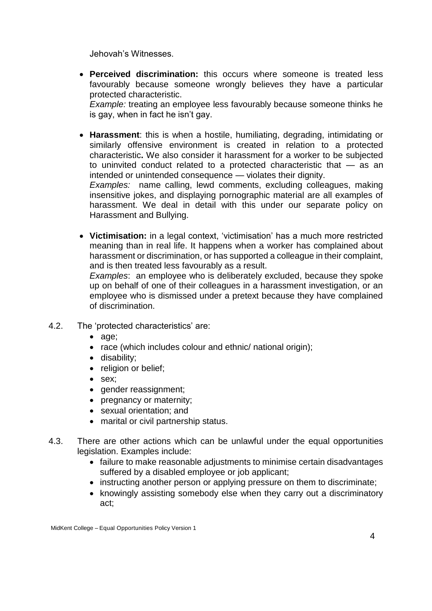Jehovah's Witnesses.

 **Perceived discrimination:** this occurs where someone is treated less favourably because someone wrongly believes they have a particular protected characteristic.

*Example:* treating an employee less favourably because someone thinks he is gay, when in fact he isn't gay.

 **Harassment**: this is when a hostile, humiliating, degrading, intimidating or similarly offensive environment is created in relation to a protected characteristic**.** We also consider it harassment for a worker to be subjected to uninvited conduct related to a protected characteristic that — as an intended or unintended consequence — violates their dignity.

*Examples:* name calling, lewd comments, excluding colleagues, making insensitive jokes, and displaying pornographic material are all examples of harassment. We deal in detail with this under our separate policy on Harassment and Bullying.

 **Victimisation:** in a legal context, 'victimisation' has a much more restricted meaning than in real life. It happens when a worker has complained about harassment or discrimination, or has supported a colleague in their complaint, and is then treated less favourably as a result.

*Examples*: an employee who is deliberately excluded, because they spoke up on behalf of one of their colleagues in a harassment investigation, or an employee who is dismissed under a pretext because they have complained of discrimination.

- 4.2. The 'protected characteristics' are:
	- age;
	- race (which includes colour and ethnic/ national origin);
	- disability;
	- religion or belief;
	- sex;
	- gender reassignment;
	- pregnancy or maternity;
	- sexual orientation: and
	- marital or civil partnership status.
- 4.3. There are other actions which can be unlawful under the equal opportunities legislation. Examples include:
	- failure to make reasonable adjustments to minimise certain disadvantages suffered by a disabled employee or job applicant;
	- instructing another person or applying pressure on them to discriminate;
	- knowingly assisting somebody else when they carry out a discriminatory act;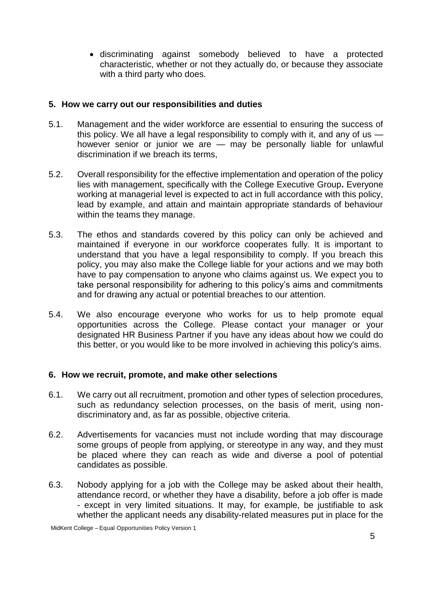discriminating against somebody believed to have a protected characteristic, whether or not they actually do, or because they associate with a third party who does.

## **5. How we carry out our responsibilities and duties**

- 5.1. Management and the wider workforce are essential to ensuring the success of this policy. We all have a legal responsibility to comply with it, and any of us  $$ however senior or junior we are — may be personally liable for unlawful discrimination if we breach its terms,
- 5.2. Overall responsibility for the effective implementation and operation of the policy lies with management, specifically with the College Executive Group**.** Everyone working at managerial level is expected to act in full accordance with this policy, lead by example, and attain and maintain appropriate standards of behaviour within the teams they manage.
- 5.3. The ethos and standards covered by this policy can only be achieved and maintained if everyone in our workforce cooperates fully. It is important to understand that you have a legal responsibility to comply. If you breach this policy, you may also make the College liable for your actions and we may both have to pay compensation to anyone who claims against us. We expect you to take personal responsibility for adhering to this policy's aims and commitments and for drawing any actual or potential breaches to our attention.
- 5.4. We also encourage everyone who works for us to help promote equal opportunities across the College. Please contact your manager or your designated HR Business Partner if you have any ideas about how we could do this better, or you would like to be more involved in achieving this policy's aims.

#### **6. How we recruit, promote, and make other selections**

- 6.1. We carry out all recruitment, promotion and other types of selection procedures, such as redundancy selection processes, on the basis of merit, using nondiscriminatory and, as far as possible, objective criteria.
- 6.2. Advertisements for vacancies must not include wording that may discourage some groups of people from applying, or stereotype in any way, and they must be placed where they can reach as wide and diverse a pool of potential candidates as possible.
- 6.3. Nobody applying for a job with the College may be asked about their health, attendance record, or whether they have a disability, before a job offer is made - except in very limited situations. It may, for example, be justifiable to ask whether the applicant needs any disability-related measures put in place for the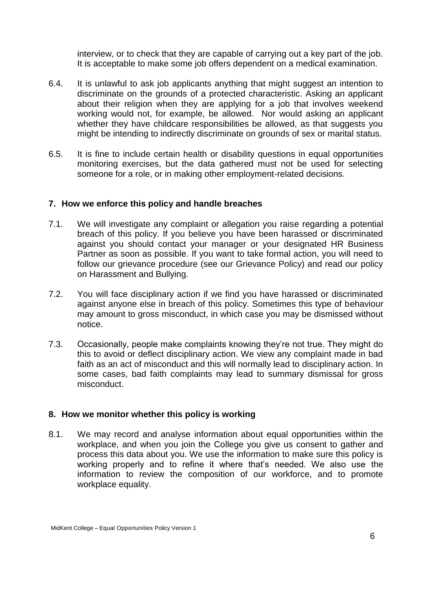interview, or to check that they are capable of carrying out a key part of the job. It is acceptable to make some job offers dependent on a medical examination.

- 6.4. It is unlawful to ask job applicants anything that might suggest an intention to discriminate on the grounds of a protected characteristic. Asking an applicant about their religion when they are applying for a job that involves weekend working would not, for example, be allowed. Nor would asking an applicant whether they have childcare responsibilities be allowed, as that suggests you might be intending to indirectly discriminate on grounds of sex or marital status.
- 6.5. It is fine to include certain health or disability questions in equal opportunities monitoring exercises, but the data gathered must not be used for selecting someone for a role, or in making other employment-related decisions.

#### **7. How we enforce this policy and handle breaches**

- 7.1. We will investigate any complaint or allegation you raise regarding a potential breach of this policy. If you believe you have been harassed or discriminated against you should contact your manager or your designated HR Business Partner as soon as possible. If you want to take formal action, you will need to follow our grievance procedure (see our Grievance Policy) and read our policy on Harassment and Bullying.
- 7.2. You will face disciplinary action if we find you have harassed or discriminated against anyone else in breach of this policy. Sometimes this type of behaviour may amount to gross misconduct, in which case you may be dismissed without notice.
- 7.3. Occasionally, people make complaints knowing they're not true. They might do this to avoid or deflect disciplinary action. We view any complaint made in bad faith as an act of misconduct and this will normally lead to disciplinary action. In some cases, bad faith complaints may lead to summary dismissal for gross misconduct.

#### **8. How we monitor whether this policy is working**

8.1. We may record and analyse information about equal opportunities within the workplace, and when you join the College you give us consent to gather and process this data about you. We use the information to make sure this policy is working properly and to refine it where that's needed. We also use the information to review the composition of our workforce, and to promote workplace equality.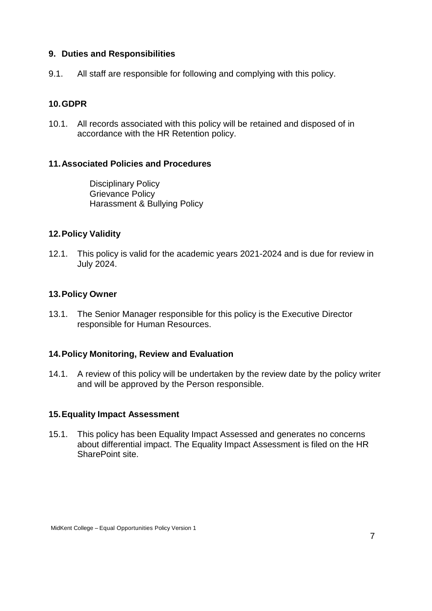## **9. Duties and Responsibilities**

9.1. All staff are responsible for following and complying with this policy.

# **10.GDPR**

10.1. All records associated with this policy will be retained and disposed of in accordance with the HR Retention policy.

## **11.Associated Policies and Procedures**

Disciplinary Policy Grievance Policy Harassment & Bullying Policy

## **12.Policy Validity**

12.1. This policy is valid for the academic years 2021-2024 and is due for review in July 2024.

## **13.Policy Owner**

13.1. The Senior Manager responsible for this policy is the Executive Director responsible for Human Resources.

## **14.Policy Monitoring, Review and Evaluation**

14.1. A review of this policy will be undertaken by the review date by the policy writer and will be approved by the Person responsible.

## **15.Equality Impact Assessment**

15.1. This policy has been Equality Impact Assessed and generates no concerns about differential impact. The Equality Impact Assessment is filed on the HR SharePoint site.